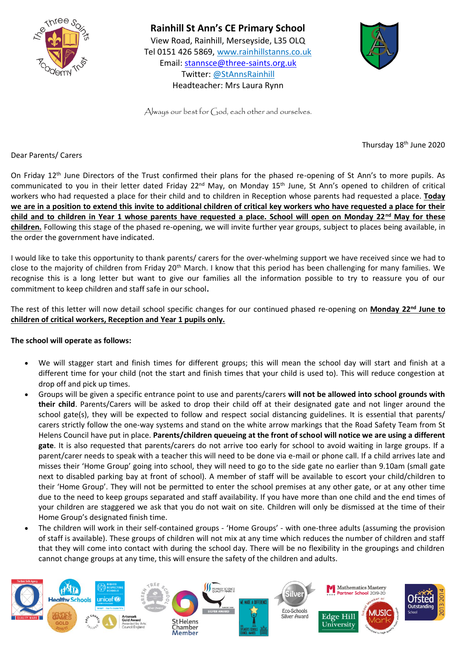

**Rainhill St Ann's CE Primary School**  View Road, Rainhill, Merseyside, L35 OLQ Tel 0151 426 5869, [www.rainhillstanns.co.uk](http://www.rainhillstanns.co.uk/) Email: [stannsce@three-saints.org.uk](mailto:stannsce@three-saints.org.uk) Twitter: @StAnnsRainhill Headteacher: Mrs Laura Rynn



Always our best for  $\zeta_1$  od, each other and ourselves.

Thursday 18<sup>th</sup> June 2020

Dear Parents/ Carers

On Friday 12<sup>th</sup> June Directors of the Trust confirmed their plans for the phased re-opening of St Ann's to more pupils. As communicated to you in their letter dated Friday 22<sup>nd</sup> May, on Monday 15<sup>th</sup> June, St Ann's opened to children of critical workers who had requested a place for their child and to children in Reception whose parents had requested a place. **Today we are in a position to extend this invite to additional children of critical key workers who have requested a place for their child and to children in Year 1 whose parents have requested a place. School will open on Monday 22nd May for these children.** Following this stage of the phased re-opening, we will invite further year groups, subject to places being available, in the order the government have indicated.

I would like to take this opportunity to thank parents/ carers for the over-whelming support we have received since we had to close to the majority of children from Friday 20<sup>th</sup> March. I know that this period has been challenging for many families. We recognise this is a long letter but want to give our families all the information possible to try to reassure you of our commitment to keep children and staff safe in our school**.**

The rest of this letter will now detail school specific changes for our continued phased re-opening on **Monday 22nd June to children of critical workers, Reception and Year 1 pupils only.** 

## **The school will operate as follows:**

- We will stagger start and finish times for different groups; this will mean the school day will start and finish at a different time for your child (not the start and finish times that your child is used to). This will reduce congestion at drop off and pick up times.
- Groups will be given a specific entrance point to use and parents/carers **will not be allowed into school grounds with their child**. Parents/Carers will be asked to drop their child off at their designated gate and not linger around the school gate(s), they will be expected to follow and respect social distancing guidelines. It is essential that parents/ carers strictly follow the one-way systems and stand on the white arrow markings that the Road Safety Team from St Helens Council have put in place. **Parents/children queueing at the front of school will notice we are using a different gate**. It is also requested that parents/carers do not arrive too early for school to avoid waiting in large groups. If a parent/carer needs to speak with a teacher this will need to be done via e-mail or phone call. If a child arrives late and misses their 'Home Group' going into school, they will need to go to the side gate no earlier than 9.10am (small gate next to disabled parking bay at front of school). A member of staff will be available to escort your child/children to their 'Home Group'. They will not be permitted to enter the school premises at any other gate, or at any other time due to the need to keep groups separated and staff availability. If you have more than one child and the end times of your children are staggered we ask that you do not wait on site. Children will only be dismissed at the time of their Home Group's designated finish time.
- The children will work in their self-contained groups 'Home Groups' with one-three adults (assuming the provision of staff is available). These groups of children will not mix at any time which reduces the number of children and staff that they will come into contact with during the school day. There will be no flexibility in the groupings and children cannot change groups at any time, this will ensure the safety of the children and adults.

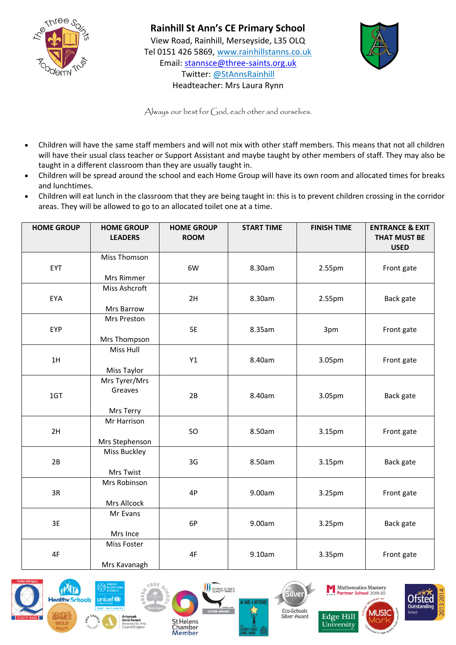

## **Rainhill St Ann's CE Primary School**

View Road, Rainhill, Merseyside, L35 OLQ Tel 0151 426 5869, [www.rainhillstanns.co.uk](http://www.rainhillstanns.co.uk/) Email: [stannsce@three-saints.org.uk](mailto:stannsce@three-saints.org.uk) Twitter: @StAnnsRainhill Headteacher: Mrs Laura Rynn



Always our best for God, each other and ourselves.

- Children will have the same staff members and will not mix with other staff members. This means that not all children will have their usual class teacher or Support Assistant and maybe taught by other members of staff. They may also be taught in a different classroom than they are usually taught in.
- Children will be spread around the school and each Home Group will have its own room and allocated times for breaks and lunchtimes.
- Children will eat lunch in the classroom that they are being taught in: this is to prevent children crossing in the corridor areas. They will be allowed to go to an allocated toilet one at a time.

| <b>HOME GROUP</b> | <b>HOME GROUP</b><br><b>LEADERS</b> | <b>HOME GROUP</b><br><b>ROOM</b> | <b>START TIME</b> | <b>FINISH TIME</b> | <b>ENTRANCE &amp; EXIT</b><br><b>THAT MUST BE</b><br><b>USED</b> |
|-------------------|-------------------------------------|----------------------------------|-------------------|--------------------|------------------------------------------------------------------|
|                   | <b>Miss Thomson</b>                 |                                  |                   |                    |                                                                  |
| EYT               |                                     | 6W                               | 8.30am            | 2.55pm             | Front gate                                                       |
|                   | Mrs Rimmer                          |                                  |                   |                    |                                                                  |
|                   | Miss Ashcroft                       |                                  |                   |                    |                                                                  |
| EYA               |                                     | 2H                               | 8.30am            | 2.55pm             | Back gate                                                        |
|                   | Mrs Barrow                          |                                  |                   |                    |                                                                  |
|                   | Mrs Preston                         |                                  |                   |                    |                                                                  |
| EYP               |                                     | 5E                               | 8.35am            | 3pm                | Front gate                                                       |
|                   | Mrs Thompson                        |                                  |                   |                    |                                                                  |
|                   | Miss Hull                           |                                  |                   |                    |                                                                  |
| 1H                |                                     | Y1                               | 8.40am            | 3.05pm             | Front gate                                                       |
|                   | Miss Taylor                         |                                  |                   |                    |                                                                  |
|                   | Mrs Tyrer/Mrs                       |                                  |                   |                    |                                                                  |
| 1GT               | Greaves                             | 2B                               | 8.40am            | 3.05pm             | Back gate                                                        |
|                   |                                     |                                  |                   |                    |                                                                  |
|                   | Mrs Terry                           |                                  |                   |                    |                                                                  |
|                   | Mr Harrison                         |                                  |                   |                    |                                                                  |
| 2H                |                                     | 50                               | 8.50am            | 3.15pm             | Front gate                                                       |
|                   | Mrs Stephenson                      |                                  |                   |                    |                                                                  |
|                   | Miss Buckley                        |                                  |                   |                    |                                                                  |
| 2B                |                                     | 3G                               | 8.50am            | 3.15pm             | Back gate                                                        |
|                   | Mrs Twist                           |                                  |                   |                    |                                                                  |
|                   | Mrs Robinson                        |                                  |                   |                    |                                                                  |
| 3R                |                                     | 4P                               | 9.00am            | 3.25pm             | Front gate                                                       |
|                   | Mrs Allcock                         |                                  |                   |                    |                                                                  |
|                   | Mr Evans                            |                                  |                   |                    |                                                                  |
| 3E                |                                     | 6P                               | 9.00am            | 3.25pm             | Back gate                                                        |
|                   | Mrs Ince                            |                                  |                   |                    |                                                                  |
|                   | Miss Foster                         |                                  |                   |                    |                                                                  |
| 4F                |                                     | 4F                               | 9.10am            | 3.35pm             | Front gate                                                       |
|                   | Mrs Kavanagh                        |                                  |                   |                    |                                                                  |











University

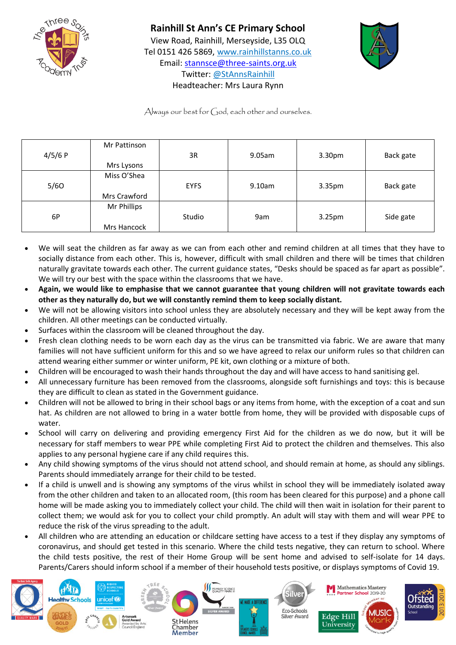

## **Rainhill St Ann's CE Primary School**  View Road, Rainhill, Merseyside, L35 OLQ Tel 0151 426 5869, [www.rainhillstanns.co.uk](http://www.rainhillstanns.co.uk/) Email: [stannsce@three-saints.org.uk](mailto:stannsce@three-saints.org.uk) Twitter: @StAnnsRainhill



Headteacher: Mrs Laura Rynn Always our best for God, each other and ourselves.

| 4/5/6 P | Mr Pattinson<br>Mrs Lysons  | 3R          | 9.05am | 3.30pm | Back gate |
|---------|-----------------------------|-------------|--------|--------|-----------|
| 5/60    | Miss O'Shea<br>Mrs Crawford | <b>EYFS</b> | 9.10am | 3.35pm | Back gate |
| 6P      | Mr Phillips<br>Mrs Hancock  | Studio      | 9am    | 3.25pm | Side gate |

- We will seat the children as far away as we can from each other and remind children at all times that they have to socially distance from each other. This is, however, difficult with small children and there will be times that children naturally gravitate towards each other. The current guidance states, "Desks should be spaced as far apart as possible". We will try our best with the space within the classrooms that we have.
- **Again, we would like to emphasise that we cannot guarantee that young children will not gravitate towards each other as they naturally do, but we will constantly remind them to keep socially distant.**
- We will not be allowing visitors into school unless they are absolutely necessary and they will be kept away from the children. All other meetings can be conducted virtually.
- Surfaces within the classroom will be cleaned throughout the day.
- Fresh clean clothing needs to be worn each day as the virus can be transmitted via fabric. We are aware that many families will not have sufficient uniform for this and so we have agreed to relax our uniform rules so that children can attend wearing either summer or winter uniform, PE kit, own clothing or a mixture of both.
- Children will be encouraged to wash their hands throughout the day and will have access to hand sanitising gel.
- All unnecessary furniture has been removed from the classrooms, alongside soft furnishings and toys: this is because they are difficult to clean as stated in the Government guidance.
- Children will not be allowed to bring in their school bags or any items from home, with the exception of a coat and sun hat. As children are not allowed to bring in a water bottle from home, they will be provided with disposable cups of water.
- School will carry on delivering and providing emergency First Aid for the children as we do now, but it will be necessary for staff members to wear PPE while completing First Aid to protect the children and themselves. This also applies to any personal hygiene care if any child requires this.
- Any child showing symptoms of the virus should not attend school, and should remain at home, as should any siblings. Parents should immediately arrange for their child to be tested.
- If a child is unwell and is showing any symptoms of the virus whilst in school they will be immediately isolated away from the other children and taken to an allocated room, (this room has been cleared for this purpose) and a phone call home will be made asking you to immediately collect your child. The child will then wait in isolation for their parent to collect them; we would ask for you to collect your child promptly. An adult will stay with them and will wear PPE to reduce the risk of the virus spreading to the adult.
- All children who are attending an education or childcare setting have access to a test if they display any symptoms of coronavirus, and should get tested in this scenario. Where the child tests negative, they can return to school. Where the child tests positive, the rest of their Home Group will be sent home and advised to self-isolate for 14 days. Parents/Carers should inform school if a member of their household tests positive, or displays symptoms of Covid 19.

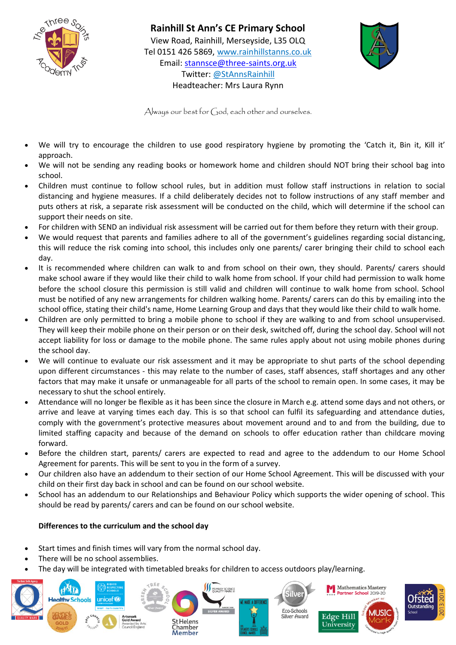

**Rainhill St Ann's CE Primary School**  View Road, Rainhill, Merseyside, L35 OLQ Tel 0151 426 5869, [www.rainhillstanns.co.uk](http://www.rainhillstanns.co.uk/) Email: [stannsce@three-saints.org.uk](mailto:stannsce@three-saints.org.uk) Twitter: @StAnnsRainhill Headteacher: Mrs Laura Rynn



Always our best for  $G$ od, each other and ourselves.

- We will try to encourage the children to use good respiratory hygiene by promoting the 'Catch it, Bin it, Kill it' approach.
- We will not be sending any reading books or homework home and children should NOT bring their school bag into school.
- Children must continue to follow school rules, but in addition must follow staff instructions in relation to social distancing and hygiene measures. If a child deliberately decides not to follow instructions of any staff member and puts others at risk, a separate risk assessment will be conducted on the child, which will determine if the school can support their needs on site.
- For children with SEND an individual risk assessment will be carried out for them before they return with their group.
- We would request that parents and families adhere to all of the government's guidelines regarding social distancing, this will reduce the risk coming into school, this includes only one parents/ carer bringing their child to school each day.
- It is recommended where children can walk to and from school on their own, they should. Parents/ carers should make school aware if they would like their child to walk home from school. If your child had permission to walk home before the school closure this permission is still valid and children will continue to walk home from school. School must be notified of any new arrangements for children walking home. Parents/ carers can do this by emailing into the school office, stating their child's name, Home Learning Group and days that they would like their child to walk home.
- Children are only permitted to bring a mobile phone to school if they are walking to and from school unsupervised. They will keep their mobile phone on their person or on their desk, switched off, during the school day. School will not accept liability for loss or damage to the mobile phone. The same rules apply about not using mobile phones during the school day.
- We will continue to evaluate our risk assessment and it may be appropriate to shut parts of the school depending upon different circumstances - this may relate to the number of cases, staff absences, staff shortages and any other factors that may make it unsafe or unmanageable for all parts of the school to remain open. In some cases, it may be necessary to shut the school entirely.
- Attendance will no longer be flexible as it has been since the closure in March e.g. attend some days and not others, or arrive and leave at varying times each day. This is so that school can fulfil its safeguarding and attendance duties, comply with the government's protective measures about movement around and to and from the building, due to limited staffing capacity and because of the demand on schools to offer education rather than childcare moving forward.
- Before the children start, parents/ carers are expected to read and agree to the addendum to our Home School Agreement for parents. This will be sent to you in the form of a survey.
- Our children also have an addendum to their section of our Home School Agreement. This will be discussed with your child on their first day back in school and can be found on our school website.
- School has an addendum to our Relationships and Behaviour Policy which supports the wider opening of school. This should be read by parents/ carers and can be found on our school website.

## **Differences to the curriculum and the school day**

- Start times and finish times will vary from the normal school day.
- There will be no school assemblies.
- The day will be integrated with timetabled breaks for children to access outdoors play/learning.